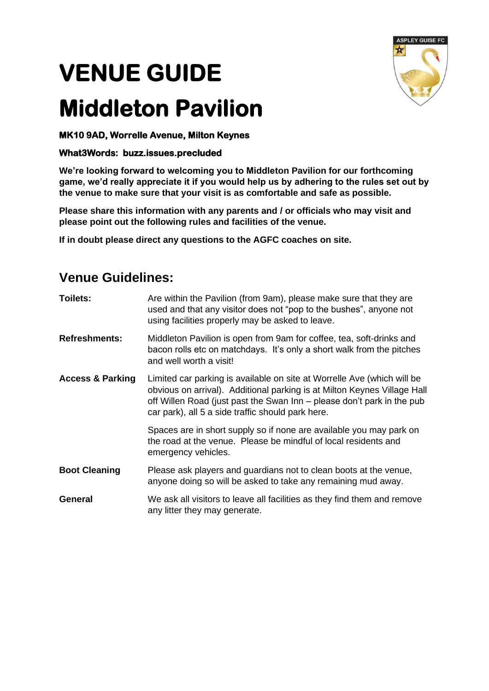## **VENUE GUIDE**

## **Middleton Pavilion**



## **What3Words: buzz.issues.precluded**

**We're looking forward to welcoming you to Middleton Pavilion for our forthcoming game, we'd really appreciate it if you would help us by adhering to the rules set out by the venue to make sure that your visit is as comfortable and safe as possible.**

**Please share this information with any parents and / or officials who may visit and please point out the following rules and facilities of the venue.**

**If in doubt please direct any questions to the AGFC coaches on site.**

## **Venue Guidelines:**

| Toilets:                    | Are within the Pavilion (from 9am), please make sure that they are<br>used and that any visitor does not "pop to the bushes", anyone not<br>using facilities properly may be asked to leave.                                                                                       |
|-----------------------------|------------------------------------------------------------------------------------------------------------------------------------------------------------------------------------------------------------------------------------------------------------------------------------|
| <b>Refreshments:</b>        | Middleton Pavilion is open from 9am for coffee, tea, soft-drinks and<br>bacon rolls etc on matchdays. It's only a short walk from the pitches<br>and well worth a visit!                                                                                                           |
| <b>Access &amp; Parking</b> | Limited car parking is available on site at Worrelle Ave (which will be<br>obvious on arrival). Additional parking is at Milton Keynes Village Hall<br>off Willen Road (just past the Swan Inn – please don't park in the pub<br>car park), all 5 a side traffic should park here. |
|                             | Spaces are in short supply so if none are available you may park on<br>the road at the venue. Please be mindful of local residents and<br>emergency vehicles.                                                                                                                      |
| <b>Boot Cleaning</b>        | Please ask players and guardians not to clean boots at the venue,<br>anyone doing so will be asked to take any remaining mud away.                                                                                                                                                 |
| General                     | We ask all visitors to leave all facilities as they find them and remove<br>any litter they may generate.                                                                                                                                                                          |